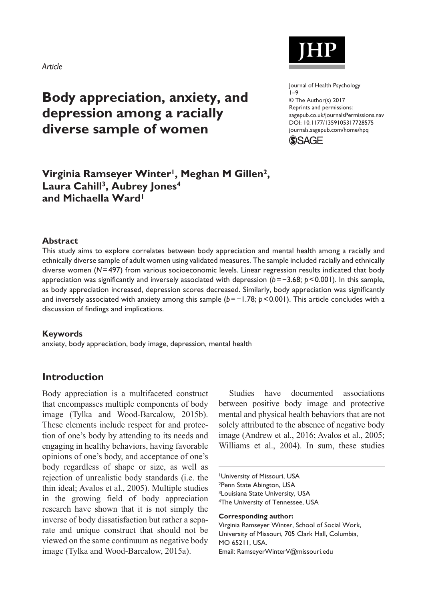# **Body appreciation, anxiety, and depression among a racially diverse sample of women**

https://doi.org/10.1177/1359105317728575 DOI: 10.1177/1359105317728575 Journal of Health Psychology 1–9 © The Author(s) 2017 Reprints and permissions: [sagepub.co.uk/journalsPermissions.nav](https://uk.sagepub.com/en-gb/journals-permissions) [journals.sagepub.com/home/hpq](https://journals.sagepub.com/home/hpq)



## **Virginia Ramseyer Winter1, Meghan M Gillen2, Laura Cahill3, Aubrey Jones4 and Michaella Ward1**

#### **Abstract**

This study aims to explore correlates between body appreciation and mental health among a racially and ethnically diverse sample of adult women using validated measures. The sample included racially and ethnically diverse women (*N*=497) from various socioeconomic levels. Linear regression results indicated that body appreciation was significantly and inversely associated with depression (*b*=−3.68; *p*<0.001). In this sample, as body appreciation increased, depression scores decreased. Similarly, body appreciation was significantly and inversely associated with anxiety among this sample (*b*=−1.78; *p*<0.001). This article concludes with a discussion of findings and implications.

#### **Keywords**

anxiety, body appreciation, body image, depression, mental health

## **Introduction**

Body appreciation is a multifaceted construct that encompasses multiple components of body image (Tylka and Wood-Barcalow, 2015b). These elements include respect for and protection of one's body by attending to its needs and engaging in healthy behaviors, having favorable opinions of one's body, and acceptance of one's body regardless of shape or size, as well as rejection of unrealistic body standards (i.e. the thin ideal; Avalos et al., 2005). Multiple studies in the growing field of body appreciation research have shown that it is not simply the inverse of body dissatisfaction but rather a separate and unique construct that should not be viewed on the same continuum as negative body image (Tylka and Wood-Barcalow, 2015a).

Studies have documented associations between positive body image and protective mental and physical health behaviors that are not solely attributed to the absence of negative body image (Andrew et al., 2016; Avalos et al., 2005; Williams et al., 2004). In sum, these studies

1University of Missouri, USA

2Penn State Abington, USA

3Louisiana State University, USA

4The University of Tennessee, USA

**Corresponding author:**

Virginia Ramseyer Winter, School of Social Work, University of Missouri, 705 Clark Hall, Columbia, MO 65211, USA. Email: [RamseyerWinterV@missouri.edu](mailto:RamseyerWinterV@missouri.edu)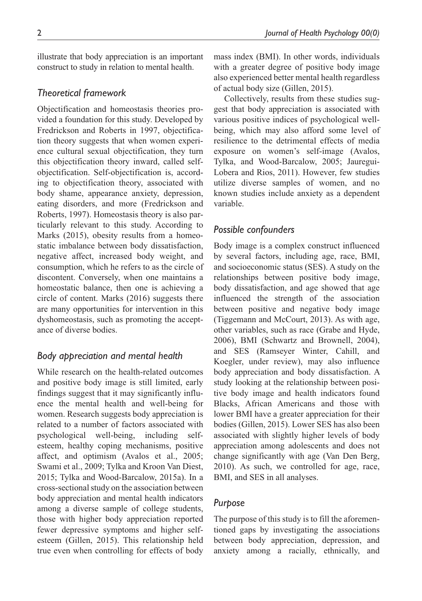illustrate that body appreciation is an important construct to study in relation to mental health.

## *Theoretical framework*

Objectification and homeostasis theories provided a foundation for this study. Developed by Fredrickson and Roberts in 1997, objectification theory suggests that when women experience cultural sexual objectification, they turn this objectification theory inward, called selfobjectification. Self-objectification is, according to objectification theory, associated with body shame, appearance anxiety, depression, eating disorders, and more (Fredrickson and Roberts, 1997). Homeostasis theory is also particularly relevant to this study. According to Marks (2015), obesity results from a homeostatic imbalance between body dissatisfaction, negative affect, increased body weight, and consumption, which he refers to as the circle of discontent. Conversely, when one maintains a homeostatic balance, then one is achieving a circle of content. Marks (2016) suggests there are many opportunities for intervention in this dyshomeostasis, such as promoting the acceptance of diverse bodies.

## *Body appreciation and mental health*

While research on the health-related outcomes and positive body image is still limited, early findings suggest that it may significantly influence the mental health and well-being for women. Research suggests body appreciation is related to a number of factors associated with psychological well-being, including selfesteem, healthy coping mechanisms, positive affect, and optimism (Avalos et al., 2005; Swami et al., 2009; Tylka and Kroon Van Diest, 2015; Tylka and Wood-Barcalow, 2015a). In a cross-sectional study on the association between body appreciation and mental health indicators among a diverse sample of college students, those with higher body appreciation reported fewer depressive symptoms and higher selfesteem (Gillen, 2015). This relationship held true even when controlling for effects of body mass index (BMI). In other words, individuals with a greater degree of positive body image also experienced better mental health regardless of actual body size (Gillen, 2015).

Collectively, results from these studies suggest that body appreciation is associated with various positive indices of psychological wellbeing, which may also afford some level of resilience to the detrimental effects of media exposure on women's self-image (Avalos, Tylka, and Wood-Barcalow, 2005; Jauregui-Lobera and Rios, 2011). However, few studies utilize diverse samples of women, and no known studies include anxiety as a dependent variable.

## *Possible confounders*

Body image is a complex construct influenced by several factors, including age, race, BMI, and socioeconomic status (SES). A study on the relationships between positive body image, body dissatisfaction, and age showed that age influenced the strength of the association between positive and negative body image (Tiggemann and McCourt, 2013). As with age, other variables, such as race (Grabe and Hyde, 2006), BMI (Schwartz and Brownell, 2004), and SES (Ramseyer Winter, Cahill, and Koegler, under review), may also influence body appreciation and body dissatisfaction. A study looking at the relationship between positive body image and health indicators found Blacks, African Americans and those with lower BMI have a greater appreciation for their bodies (Gillen, 2015). Lower SES has also been associated with slightly higher levels of body appreciation among adolescents and does not change significantly with age (Van Den Berg, 2010). As such, we controlled for age, race, BMI, and SES in all analyses.

## *Purpose*

The purpose of this study is to fill the aforementioned gaps by investigating the associations between body appreciation, depression, and anxiety among a racially, ethnically, and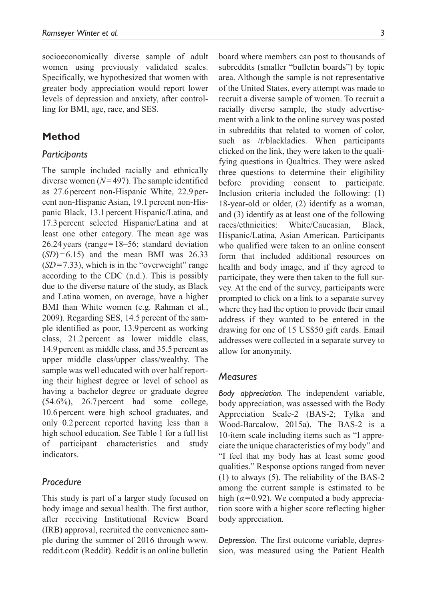socioeconomically diverse sample of adult women using previously validated scales. Specifically, we hypothesized that women with greater body appreciation would report lower levels of depression and anxiety, after controlling for BMI, age, race, and SES.

## **Method**

#### *Participants*

The sample included racially and ethnically diverse women (*N*=497). The sample identified as 27.6percent non-Hispanic White, 22.9percent non-Hispanic Asian, 19.1 percent non-Hispanic Black, 13.1percent Hispanic/Latina, and 17.3percent selected Hispanic/Latina and at least one other category. The mean age was 26.24years (range=18–56; standard deviation  $(SD)=6.15$ ) and the mean BMI was 26.33  $(SD=7.33)$ , which is in the "overweight" range according to the CDC (n.d.). This is possibly due to the diverse nature of the study, as Black and Latina women, on average, have a higher BMI than White women (e.g. Rahman et al., 2009). Regarding SES, 14.5 percent of the sample identified as poor, 13.9percent as working class, 21.2percent as lower middle class, 14.9 percent as middle class, and 35.5 percent as upper middle class/upper class/wealthy. The sample was well educated with over half reporting their highest degree or level of school as having a bachelor degree or graduate degree (54.6%), 26.7 percent had some college, 10.6percent were high school graduates, and only 0.2 percent reported having less than a high school education. See Table 1 for a full list of participant characteristics and study indicators.

### *Procedure*

This study is part of a larger study focused on body image and sexual health. The first author, after receiving Institutional Review Board (IRB) approval, recruited the convenience sample during the summer of 2016 through [www.](www.reddit.com) [reddit.com](www.reddit.com) (Reddit). Reddit is an online bulletin board where members can post to thousands of subreddits (smaller "bulletin boards") by topic area. Although the sample is not representative of the United States, every attempt was made to recruit a diverse sample of women. To recruit a racially diverse sample, the study advertisement with a link to the online survey was posted in subreddits that related to women of color, such as /r/blackladies. When participants clicked on the link, they were taken to the qualifying questions in Qualtrics. They were asked three questions to determine their eligibility before providing consent to participate. Inclusion criteria included the following: (1) 18-year-old or older, (2) identify as a woman, and (3) identify as at least one of the following races/ethnicities: White/Caucasian, Black, Hispanic/Latina, Asian American. Participants who qualified were taken to an online consent form that included additional resources on health and body image, and if they agreed to participate, they were then taken to the full survey. At the end of the survey, participants were prompted to click on a link to a separate survey where they had the option to provide their email address if they wanted to be entered in the drawing for one of 15 US\$50 gift cards. Email addresses were collected in a separate survey to allow for anonymity.

#### *Measures*

*Body appreciation.* The independent variable, body appreciation, was assessed with the Body Appreciation Scale-2 (BAS-2; Tylka and Wood-Barcalow, 2015a). The BAS-2 is a 10-item scale including items such as "I appreciate the unique characteristics of my body" and "I feel that my body has at least some good qualities." Response options ranged from never (1) to always (5). The reliability of the BAS-2 among the current sample is estimated to be high ( $\alpha$ =0.92). We computed a body appreciation score with a higher score reflecting higher body appreciation.

*Depression.* The first outcome variable, depression, was measured using the Patient Health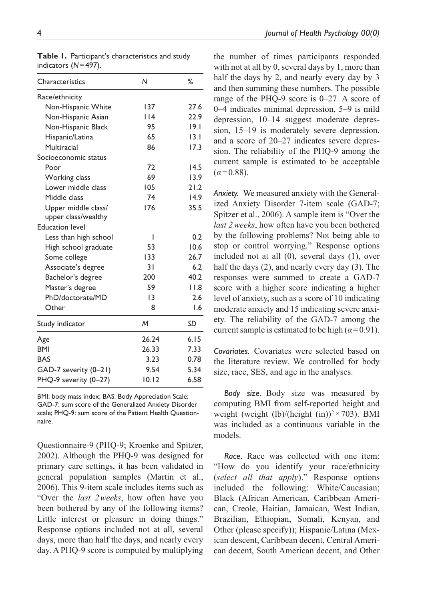| Characteristics        | N               | %    |
|------------------------|-----------------|------|
| Race/ethnicity         |                 |      |
| Non-Hispanic White     | 137             | 27.6 |
| Non-Hispanic Asian     | 14              | 22.9 |
| Non-Hispanic Black     | 95              | 19.1 |
| Hispanic/Latina        | 65              | 13.1 |
| Multiracial            | 86              | 17.3 |
| Socioeconomic status   |                 |      |
| Poor                   | 72              | 14.5 |
| Working class          | 69              | 13.9 |
| Lower middle class     | 105             | 21.2 |
| Middle class           | 74              | 14.9 |
| Upper middle class/    | 176             | 35.5 |
| upper class/wealthy    |                 |      |
| <b>Education level</b> |                 |      |
| Less than high school  | ı               | 0.2  |
| High school graduate   | 53              | 10.6 |
| Some college           | 133             | 26.7 |
| Associate's degree     | $\overline{3}1$ | 6.2  |
| Bachelor's degree      | 200             | 40.2 |
| Master's degree        | 59              | 11.8 |
| PhD/doctorate/MD       | 13              | 2.6  |
| Other                  | 8               | 1.6  |
| Study indicator        | M               | SD   |
| Age                    | 26.24           | 6.15 |
| <b>BMI</b>             | 26.33           | 7.33 |
| <b>BAS</b>             | 3.23            | 0.78 |
| GAD-7 severity (0-21)  | 9.54            | 5.34 |
| PHQ-9 severity (0-27)  | 10.12           | 6.58 |

**Table 1.** Participant's characteristics and study indicators (*N*=497).

BMI: body mass index; BAS: Body Appreciation Scale; GAD-7: sum score of the Generalized Anxiety Disorder scale: PHQ-9: sum score of the Patient Health Questionnaire.

Questionnaire-9 (PHQ-9; Kroenke and Spitzer, 2002). Although the PHQ-9 was designed for primary care settings, it has been validated in general population samples (Martin et al., 2006). This 9-item scale includes items such as "Over the *last 2weeks*, how often have you been bothered by any of the following items? Little interest or pleasure in doing things." Response options included not at all, several days, more than half the days, and nearly every day. A PHQ-9 score is computed by multiplying

the number of times participants responded with not at all by 0, several days by 1, more than half the days by 2, and nearly every day by 3 and then summing these numbers. The possible range of the PHQ-9 score is 0–27. A score of 0–4 indicates minimal depression, 5–9 is mild depression, 10–14 suggest moderate depression, 15–19 is moderately severe depression, and a score of 20–27 indicates severe depression. The reliability of the PHQ-9 among the current sample is estimated to be acceptable  $(\alpha = 0.88)$ .

*Anxiety.* We measured anxiety with the Generalized Anxiety Disorder 7-item scale (GAD-7; Spitzer et al., 2006). A sample item is "Over the *last 2weeks*, how often have you been bothered by the following problems? Not being able to stop or control worrying." Response options included not at all (0), several days (1), over half the days (2), and nearly every day (3). The responses were summed to create a GAD-7 score with a higher score indicating a higher level of anxiety, such as a score of 10 indicating moderate anxiety and 15 indicating severe anxiety. The reliability of the GAD-7 among the current sample is estimated to be high  $(a=0.91)$ .

*Covariates.* Covariates were selected based on the literature review. We controlled for body size, race, SES, and age in the analyses.

*Body size*. Body size was measured by computing BMI from self-reported height and weight (weight (lb)/(height (in))<sup>2</sup> $\times$ 703). BMI was included as a continuous variable in the models.

*Race*. Race was collected with one item: "How do you identify your race/ethnicity (*select all that apply*)." Response options included the following: White/Caucasian; Black (African American, Caribbean American, Creole, Haitian, Jamaican, West Indian, Brazilian, Ethiopian, Somali, Kenyan, and Other (please specify)); Hispanic/Latina (Mexican descent, Caribbean decent, Central American decent, South American decent, and Other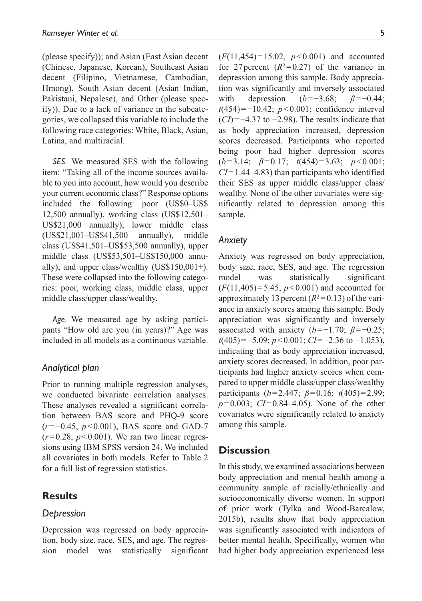(please specify)); and Asian (East Asian decent (Chinese, Japanese, Korean), Southeast Asian decent (Filipino, Vietnamese, Cambodian, Hmong), South Asian decent (Asian Indian, Pakistani, Nepalese), and Other (please specify)). Due to a lack of variance in the subcategories, we collapsed this variable to include the following race categories: White, Black, Asian, Latina, and multiracial.

*SES*. We measured SES with the following item: "Taking all of the income sources available to you into account, how would you describe your current economic class?" Response options included the following: poor (US\$0–US\$ 12,500 annually), working class (US\$12,501– US\$21,000 annually), lower middle class (US\$21,001–US\$41,500 annually), middle class (US\$41,501–US\$53,500 annually), upper middle class (US\$53,501–US\$150,000 annually), and upper class/wealthy (US\$150,001+). These were collapsed into the following categories: poor, working class, middle class, upper middle class/upper class/wealthy.

*Age*. We measured age by asking participants "How old are you (in years)?" Age was included in all models as a continuous variable.

#### *Analytical plan*

Prior to running multiple regression analyses, we conducted bivariate correlation analyses. These analyses revealed a significant correlation between BAS score and PHQ-9 score (*r*=−0.45, *p*<0.001), BAS score and GAD-7  $(r=0.28, p<0.001)$ . We ran two linear regressions using IBM SPSS version 24. We included all covariates in both models. Refer to Table 2 for a full list of regression statistics.

## **Results**

#### *Depression*

Depression was regressed on body appreciation, body size, race, SES, and age. The regression model was statistically significant (*F*(11,454)=15.02, *p*<0.001) and accounted for 27 percent  $(R^2=0.27)$  of the variance in depression among this sample. Body appreciation was significantly and inversely associated with depression (*b*=−3.68; *β*=−0.44; *t*(454)=−10.42; *p* < 0.001; confidence interval (*CI*)=−4.37 to −2.98). The results indicate that as body appreciation increased, depression scores decreased. Participants who reported being poor had higher depression scores (*b*=3.14; *β*=0.17; *t*(454)=3.63; *p*<0.001; *CI*=1.44–4.83) than participants who identified their SES as upper middle class/upper class/ wealthy. None of the other covariates were significantly related to depression among this sample.

#### *Anxiety*

Anxiety was regressed on body appreciation, body size, race, SES, and age. The regression model was statistically significant (*F*(11,405)=5.45, *p*<0.001) and accounted for approximately 13 percent  $(R^2=0.13)$  of the variance in anxiety scores among this sample. Body appreciation was significantly and inversely associated with anxiety ( $b=-1.70$ ;  $\beta=-0.25$ ; *t*(405)=−5.09; *p* < 0.001; *CI*=−2.36 to −1.053), indicating that as body appreciation increased, anxiety scores decreased. In addition, poor participants had higher anxiety scores when compared to upper middle class/upper class/wealthy participants (*b*=2.447; *β*=0.16; *t*(405)=2.99; *p*=0.003; *CI*=0.84–4.05). None of the other covariates were significantly related to anxiety among this sample.

## **Discussion**

In this study, we examined associations between body appreciation and mental health among a community sample of racially/ethnically and socioeconomically diverse women. In support of prior work (Tylka and Wood-Barcalow, 2015b), results show that body appreciation was significantly associated with indicators of better mental health. Specifically, women who had higher body appreciation experienced less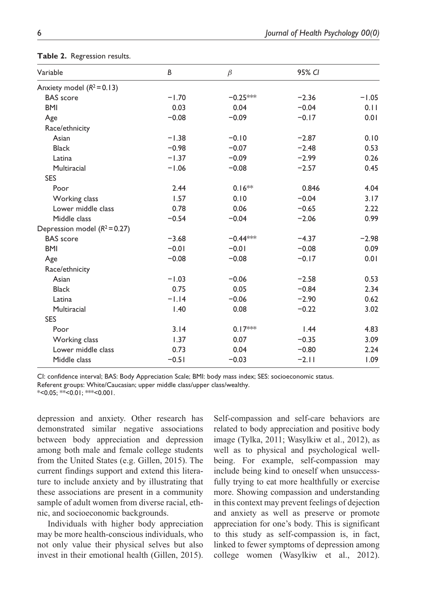| Variable                      | B       | $\beta$    | 95% CI  |         |  |
|-------------------------------|---------|------------|---------|---------|--|
| Anxiety model $(R^2 = 0.13)$  |         |            |         |         |  |
| <b>BAS</b> score              | $-1.70$ | $-0.25***$ | $-2.36$ | $-1.05$ |  |
| <b>BMI</b>                    | 0.03    | 0.04       | $-0.04$ | 0.11    |  |
| Age                           | $-0.08$ | $-0.09$    | $-0.17$ | 0.01    |  |
| Race/ethnicity                |         |            |         |         |  |
| Asian                         | $-1.38$ | $-0.10$    | $-2.87$ | 0.10    |  |
| <b>Black</b>                  | $-0.98$ | $-0.07$    | $-2.48$ | 0.53    |  |
| Latina                        | $-1.37$ | $-0.09$    | $-2.99$ | 0.26    |  |
| Multiracial                   | $-1.06$ | $-0.08$    | $-2.57$ | 0.45    |  |
| <b>SES</b>                    |         |            |         |         |  |
| Poor                          | 2.44    | $0.16**$   | 0.846   | 4.04    |  |
| Working class                 | 1.57    | 0.10       | $-0.04$ | 3.17    |  |
| Lower middle class            | 0.78    | 0.06       | $-0.65$ | 2.22    |  |
| Middle class                  | $-0.54$ | $-0.04$    | $-2.06$ | 0.99    |  |
| Depression model $(R^2=0.27)$ |         |            |         |         |  |
| <b>BAS</b> score              | $-3.68$ | $-0.44***$ | $-4.37$ | $-2.98$ |  |
| <b>BMI</b>                    | $-0.01$ | $-0.01$    | $-0.08$ | 0.09    |  |
| Age                           | $-0.08$ | $-0.08$    | $-0.17$ | 0.01    |  |
| Race/ethnicity                |         |            |         |         |  |
| Asian                         | $-1.03$ | $-0.06$    | $-2.58$ | 0.53    |  |
| <b>Black</b>                  | 0.75    | 0.05       | $-0.84$ | 2.34    |  |
| Latina                        | $-1.14$ | $-0.06$    | $-2.90$ | 0.62    |  |
| Multiracial                   | 1.40    | 0.08       | $-0.22$ | 3.02    |  |
| <b>SES</b>                    |         |            |         |         |  |
| Poor                          | 3.14    | $0.17***$  | 1.44    | 4.83    |  |
| Working class                 | 1.37    | 0.07       | $-0.35$ | 3.09    |  |
| Lower middle class            | 0.73    | 0.04       | $-0.80$ | 2.24    |  |
| Middle class                  | $-0.51$ | $-0.03$    | $-2.11$ | 1.09    |  |

**Table 2.** Regression results.

CI: confidence interval; BAS: Body Appreciation Scale; BMI: body mass index; SES: socioeconomic status. Referent groups: White/Caucasian; upper middle class/upper class/wealthy.

 $*$ <0.05; \*\*<0.01; \*\*\*<0.001.

depression and anxiety. Other research has demonstrated similar negative associations between body appreciation and depression among both male and female college students from the United States (e.g. Gillen, 2015). The current findings support and extend this literature to include anxiety and by illustrating that these associations are present in a community sample of adult women from diverse racial, ethnic, and socioeconomic backgrounds.

Individuals with higher body appreciation may be more health-conscious individuals, who not only value their physical selves but also invest in their emotional health (Gillen, 2015). Self-compassion and self-care behaviors are related to body appreciation and positive body image (Tylka, 2011; Wasylkiw et al., 2012), as well as to physical and psychological wellbeing. For example, self-compassion may include being kind to oneself when unsuccessfully trying to eat more healthfully or exercise more. Showing compassion and understanding in this context may prevent feelings of dejection and anxiety as well as preserve or promote appreciation for one's body. This is significant to this study as self-compassion is, in fact, linked to fewer symptoms of depression among college women (Wasylkiw et al., 2012).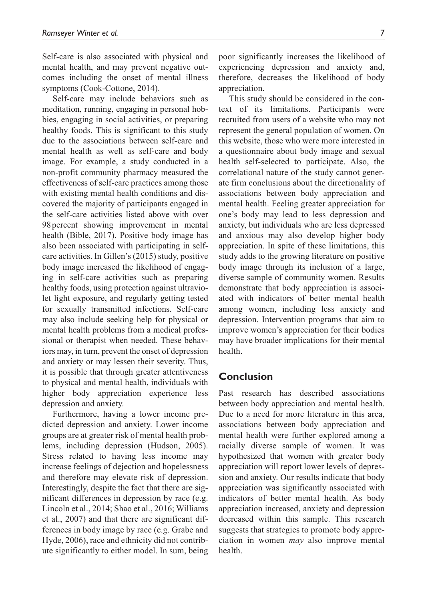Self-care is also associated with physical and mental health, and may prevent negative outcomes including the onset of mental illness symptoms (Cook-Cottone, 2014).

Self-care may include behaviors such as meditation, running, engaging in personal hobbies, engaging in social activities, or preparing healthy foods. This is significant to this study due to the associations between self-care and mental health as well as self-care and body image. For example, a study conducted in a non-profit community pharmacy measured the effectiveness of self-care practices among those with existing mental health conditions and discovered the majority of participants engaged in the self-care activities listed above with over 98 percent showing improvement in mental health (Bible, 2017). Positive body image has also been associated with participating in selfcare activities. In Gillen's (2015) study, positive body image increased the likelihood of engaging in self-care activities such as preparing healthy foods, using protection against ultraviolet light exposure, and regularly getting tested for sexually transmitted infections. Self-care may also include seeking help for physical or mental health problems from a medical professional or therapist when needed. These behaviors may, in turn, prevent the onset of depression and anxiety or may lessen their severity. Thus, it is possible that through greater attentiveness to physical and mental health, individuals with higher body appreciation experience less depression and anxiety.

Furthermore, having a lower income predicted depression and anxiety. Lower income groups are at greater risk of mental health problems, including depression (Hudson, 2005). Stress related to having less income may increase feelings of dejection and hopelessness and therefore may elevate risk of depression. Interestingly, despite the fact that there are significant differences in depression by race (e.g. Lincoln et al., 2014; Shao et al., 2016; Williams et al., 2007) and that there are significant differences in body image by race (e.g. Grabe and Hyde, 2006), race and ethnicity did not contribute significantly to either model. In sum, being poor significantly increases the likelihood of experiencing depression and anxiety and, therefore, decreases the likelihood of body appreciation.

This study should be considered in the context of its limitations. Participants were recruited from users of a website who may not represent the general population of women. On this website, those who were more interested in a questionnaire about body image and sexual health self-selected to participate. Also, the correlational nature of the study cannot generate firm conclusions about the directionality of associations between body appreciation and mental health. Feeling greater appreciation for one's body may lead to less depression and anxiety, but individuals who are less depressed and anxious may also develop higher body appreciation. In spite of these limitations, this study adds to the growing literature on positive body image through its inclusion of a large, diverse sample of community women. Results demonstrate that body appreciation is associated with indicators of better mental health among women, including less anxiety and depression. Intervention programs that aim to improve women's appreciation for their bodies may have broader implications for their mental health.

## **Conclusion**

Past research has described associations between body appreciation and mental health. Due to a need for more literature in this area, associations between body appreciation and mental health were further explored among a racially diverse sample of women. It was hypothesized that women with greater body appreciation will report lower levels of depression and anxiety. Our results indicate that body appreciation was significantly associated with indicators of better mental health. As body appreciation increased, anxiety and depression decreased within this sample. This research suggests that strategies to promote body appreciation in women *may* also improve mental health.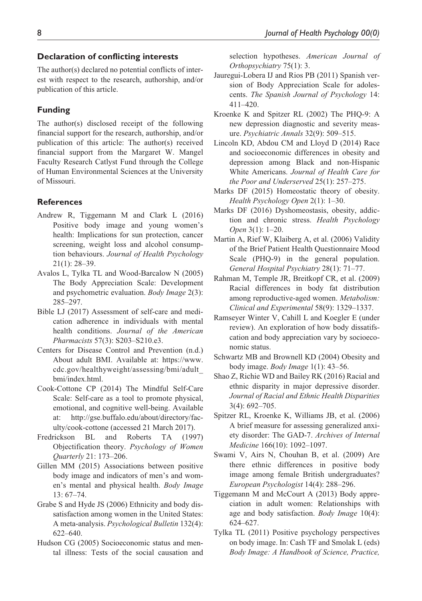#### **Declaration of conflicting interests**

The author(s) declared no potential conflicts of interest with respect to the research, authorship, and/or publication of this article.

#### **Funding**

The author(s) disclosed receipt of the following financial support for the research, authorship, and/or publication of this article: The author(s) received financial support from the Margaret W. Mangel Faculty Research Catlyst Fund through the College of Human Environmental Sciences at the University of Missouri.

#### **References**

- Andrew R, Tiggemann M and Clark L (2016) Positive body image and young women's health: Implications for sun protection, cancer screening, weight loss and alcohol consumption behaviours. *Journal of Health Psychology* 21(1): 28–39.
- Avalos L, Tylka TL and Wood-Barcalow N (2005) The Body Appreciation Scale: Development and psychometric evaluation. *Body Image* 2(3): 285–297.
- Bible LJ (2017) Assessment of self-care and medication adherence in individuals with mental health conditions. *Journal of the American Pharmacists* 57(3): S203–S210.e3.
- Centers for Disease Control and Prevention (n.d.) About adult BMI. Available at: [https://www.](https://www.cdc.gov/healthyweight/assessing/bmi/adult_bmi/index.html) [cdc.gov/healthyweight/assessing/bmi/adult\\_](https://www.cdc.gov/healthyweight/assessing/bmi/adult_bmi/index.html) [bmi/index.html.](https://www.cdc.gov/healthyweight/assessing/bmi/adult_bmi/index.html)
- Cook-Cottone CP (2014) The Mindful Self-Care Scale: Self-care as a tool to promote physical, emotional, and cognitive well-being. Available at: [http://gse.buffalo.edu/about/directory/fac](http://gse.buffalo.edu/about/directory/faculty/cook-cottone)[ulty/cook-cottone](http://gse.buffalo.edu/about/directory/faculty/cook-cottone) (accessed 21 March 2017).
- Fredrickson BL and Roberts TA (1997) Objectification theory. *Psychology of Women Quarterly* 21: 173–206.
- Gillen MM (2015) Associations between positive body image and indicators of men's and women's mental and physical health. *Body Image* 13: 67–74.
- Grabe S and Hyde JS (2006) Ethnicity and body dissatisfaction among women in the United States: A meta-analysis. *Psychological Bulletin* 132(4): 622–640.
- Hudson CG (2005) Socioeconomic status and mental illness: Tests of the social causation and

selection hypotheses. *American Journal of Orthopsychiatry* 75(1): 3.

- Jauregui-Lobera IJ and Rios PB (2011) Spanish version of Body Appreciation Scale for adolescents. *The Spanish Journal of Psychology* 14: 411–420.
- Kroenke K and Spitzer RL (2002) The PHQ-9: A new depression diagnostic and severity measure. *Psychiatric Annals* 32(9): 509–515.
- Lincoln KD, Abdou CM and Lloyd D (2014) Race and socioeconomic differences in obesity and depression among Black and non-Hispanic White Americans. *Journal of Health Care for the Poor and Underserved* 25(1): 257–275.
- Marks DF (2015) Homeostatic theory of obesity. *Health Psychology Open* 2(1): 1–30.
- Marks DF (2016) Dyshomeostasis, obesity, addiction and chronic stress. *Health Psychology Open* 3(1): 1–20.
- Martin A, Rief W, Klaiberg A, et al. (2006) Validity of the Brief Patient Health Questionnaire Mood Scale (PHQ-9) in the general population. *General Hospital Psychiatry* 28(1): 71–77.
- Rahman M, Temple JR, Breitkopf CR, et al. (2009) Racial differences in body fat distribution among reproductive-aged women. *Metabolism: Clinical and Experimental* 58(9): 1329–1337.
- Ramseyer Winter V, Cahill L and Koegler E (under review). An exploration of how body dissatifscation and body appreciation vary by socioeconomic status.
- Schwartz MB and Brownell KD (2004) Obesity and body image. *Body Image* 1(1): 43–56.
- Shao Z, Richie WD and Bailey RK (2016) Racial and ethnic disparity in major depressive disorder. *Journal of Racial and Ethnic Health Disparities* 3(4): 692–705.
- Spitzer RL, Kroenke K, Williams JB, et al. (2006) A brief measure for assessing generalized anxiety disorder: The GAD-7. *Archives of Internal Medicine* 166(10): 1092–1097.
- Swami V, Airs N, Chouhan B, et al. (2009) Are there ethnic differences in positive body image among female British undergraduates? *European Psychologist* 14(4): 288–296.
- Tiggemann M and McCourt A (2013) Body appreciation in adult women: Relationships with age and body satisfaction. *Body Image* 10(4): 624–627.
- Tylka TL (2011) Positive psychology perspectives on body image. In: Cash TF and Smolak L (eds) *Body Image: A Handbook of Science, Practice,*